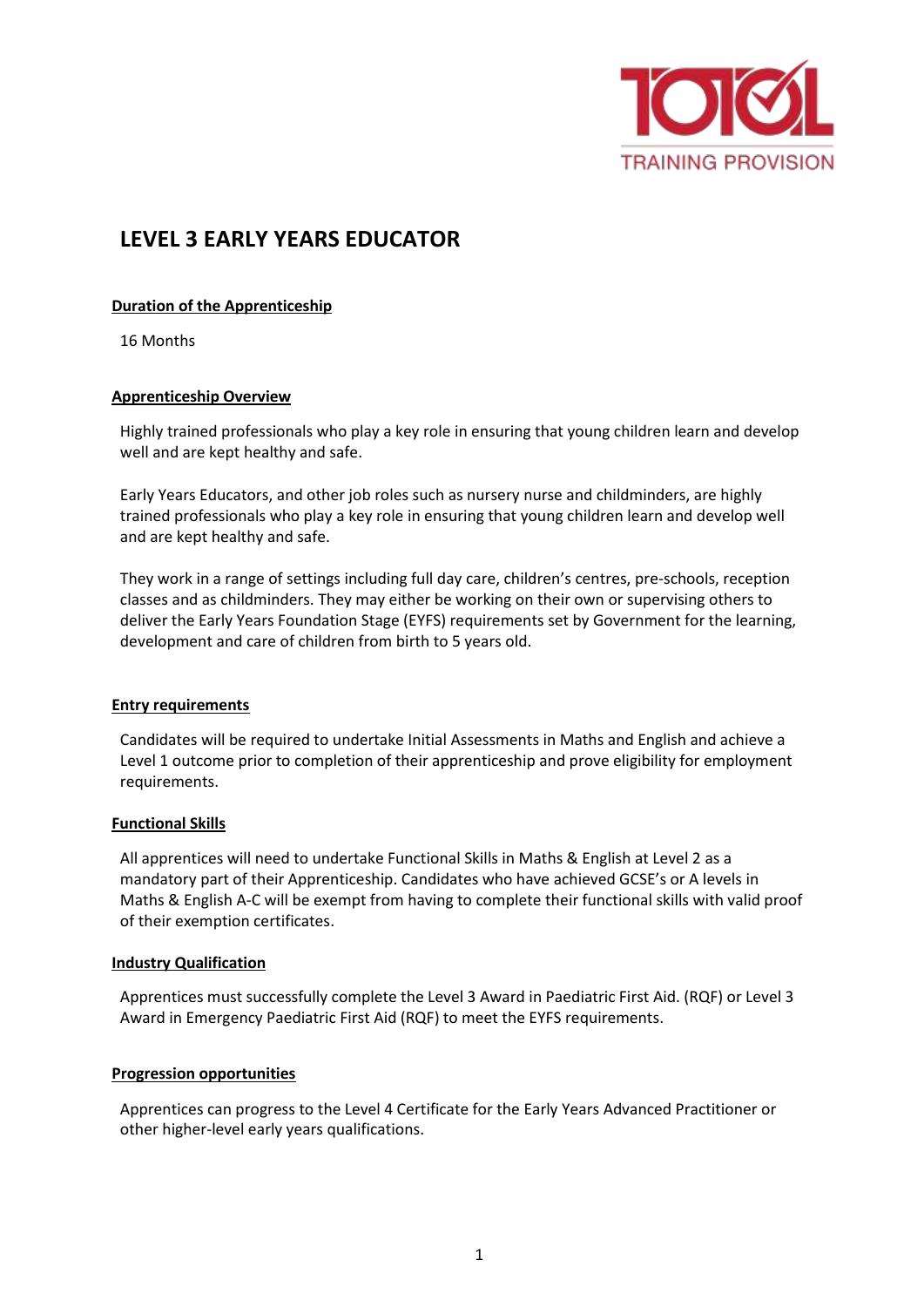

# **LEVEL 3 EARLY YEARS EDUCATOR**

# **Duration of the Apprenticeship**

16 Months

## **Apprenticeship Overview**

Highly trained professionals who play a key role in ensuring that young children learn and develop well and are kept healthy and safe.

Early Years Educators, and other job roles such as nursery nurse and childminders, are highly trained professionals who play a key role in ensuring that young children learn and develop well and are kept healthy and safe.

They work in a range of settings including full day care, children's centres, pre-schools, reception classes and as childminders. They may either be working on their own or supervising others to deliver the Early Years Foundation Stage (EYFS) requirements set by Government for the learning, development and care of children from birth to 5 years old.

#### **Entry requirements**

Candidates will be required to undertake Initial Assessments in Maths and English and achieve a Level 1 outcome prior to completion of their apprenticeship and prove eligibility for employment requirements.

#### **Functional Skills**

All apprentices will need to undertake Functional Skills in Maths & English at Level 2 as a mandatory part of their Apprenticeship. Candidates who have achieved GCSE's or A levels in Maths & English A-C will be exempt from having to complete their functional skills with valid proof of their exemption certificates.

#### **Industry Qualification**

Apprentices must successfully complete the Level 3 Award in Paediatric First Aid. (RQF) or Level 3 Award in Emergency Paediatric First Aid (RQF) to meet the EYFS requirements.

#### **Progression opportunities**

Apprentices can progress to the Level 4 Certificate for the Early Years Advanced Practitioner or other higher-level early years qualifications.